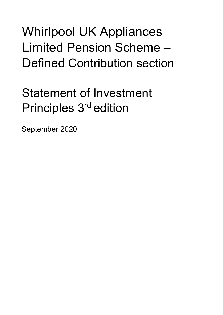# Whirlpool UK Appliances Limited Pension Scheme – Defined Contribution section

# Statement of Investment Principles 3rd edition

September 2020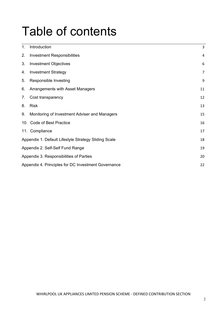# Table of contents

| 1.                                                   | Introduction                                        | 3  |
|------------------------------------------------------|-----------------------------------------------------|----|
| 2.                                                   | <b>Investment Responsibilities</b>                  | 4  |
| 3.                                                   | <b>Investment Objectives</b>                        | 6  |
| 4.                                                   | <b>Investment Strategy</b>                          | 7  |
| 5.                                                   | Responsible Investing                               | 9  |
| 6.                                                   | Arrangements with Asset Managers                    | 11 |
| 7.                                                   | Cost transparency                                   | 12 |
| 8.                                                   | <b>Risk</b>                                         | 13 |
| 9.                                                   | Monitoring of Investment Adviser and Managers       | 15 |
|                                                      | 10. Code of Best Practice                           | 16 |
|                                                      | 11. Compliance                                      | 17 |
| Appendix 1. Default Lifestyle Strategy Sliding Scale |                                                     | 18 |
|                                                      | Appendix 2. Self-Self Fund Range                    | 19 |
|                                                      | Appendix 3. Responsibilities of Parties             |    |
|                                                      | Appendix 4. Principles for DC Investment Governance | 22 |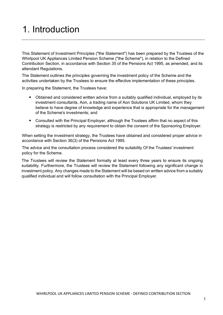### <span id="page-2-0"></span>1. Introduction

This Statement of Investment Principles ("the Statement") has been prepared by the Trustees of the Whirlpool UK Appliances Limited Pension Scheme ("the Scheme"), in relation to the Defined Contribution Section, in accordance with Section 35 of the Pensions Act 1995, as amended, and its attendant Regulations.

The Statement outlines the principles governing the investment policy of the Scheme and the activities undertaken by the Trustees to ensure the effective implementation of these principles.

In preparing the Statement, the Trustees have:

- Obtained and considered written advice from a suitably qualified individual, employed by its investment consultants, Aon, a trading name of Aon Solutions UK Limited, whom they believe to have degree of knowledge and experience that is appropriate for the management of the Scheme's investments; and
- Consulted with the Principal Employer, although the Trustees affirm that no aspect of this strategy is restricted by any requirement to obtain the consent of the Sponsoring Employer.

When setting the investment strategy, the Trustees have obtained and considered proper advice in accordance with Section 36(3) of the Pensions Act 1995.

The advice and the consultation process considered the suitability Of the Trustees' investment policy for the Scheme.

The Trustees will review the Statement formally at least every three years to ensure its ongoing suitability. Furthermore, the Trustees will review the Statement following any significant change in investment policy. Any changes made to the Statement will be based on written advice from a suitably qualified individual and will follow consultation with the Principal Employer.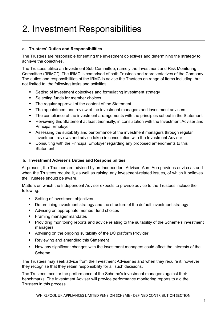# <span id="page-3-0"></span>2. Investment Responsibilities

#### **a. Trustees' Duties and Responsibilities**

The Trustees are responsible for setting the investment objectives and determining the strategy to achieve the objectives.

The Trustees utilise an Investment Sub-Committee, namely the Investment and Risk Monitoring Committee ("IRMC"). The IRMC is comprised of both Trustees and representatives of the Company. The duties and responsibilities of the IRMC is advise the Trustees on range of items including, but not limited to, the following tasks and activities:

- Setting of investment objectives and formulating investment strategy
- Selecting funds for member choices
- The regular approval of the content of the Statement
- The appointment and review of the investment managers and investment advisers
- The compliance of the investment arrangements with the principles set out in the Statement
- Reviewing this Statement at least triennially, in consultation with the Investment Adviser and Principal Employer
- Assessing the suitability and performance of the investment managers through regular investment reviews and advice taken in consultation with the Investment Adviser
- Consulting with the Principal Employer regarding any proposed amendments to this **Statement**

#### **b. Investment Adviser's Duties and Responsibilities**

At present, the Trustees are advised by an Independent Adviser, Aon. Aon provides advice as and when the Trustees require it, as well as raising any investment-related issues, of which it believes the Trustees should be aware.

Matters on which the Independent Adviser expects to provide advice to the Trustees include the following:

- Setting of investment objectives
- Determining investment strategy and the structure of the default investment strategy
- Advising on appropriate member fund choices
- Framing manager mandates
- Providing monitoring reports and advice relating to the suitability of the Scheme's investment managers
- Advising on the ongoing suitability of the DC platform Provider
- Reviewing and amending this Statement
- How any significant changes with the investment managers could affect the interests of the Scheme

The Trustees may seek advice from the Investment Adviser as and when they require it; however, they recognise that they retain responsibility for all such decisions.

The Trustees monitor the performance of the Scheme's investment managers against their benchmarks. The Investment Adviser will provide performance monitoring reports to aid the Trustees in this process.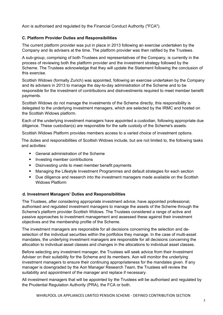Aon is authorised and regulated by the Financial Conduct Authority ("FCA").

#### **C. Platform Provider Duties and Responsibilities**

The current platform provider was put in place in 2013 following an exercise undertaken by the Company and its advisers at the time. The platform provider was then ratified by the Trustees.

A sub-group, comprising of both Trustees and representatives of the Company, is currently in the process of reviewing both the platform provider and the investment strategy followed by the Scheme. The Trustees acknowledge that they will update the Statement following the conclusion of this exercise.

Scottish Widows (formally Zurich) was appointed, following an exercise undertaken by the Company and its advisers in 2013 to manage the day-to-day administration of the Scheme and to be responsible for the investment of contributions and disinvestments required to meet member benefit payments.

Scottish Widows do not manage the investments of the Scheme directly, this responsibility is delegated to the underlying investment managers, which are selected by the IRMC and hosted on the Scottish Widows platform.

Each of the underlying investment managers have appointed a custodian, following appropriate due diligence. These custodian(s) are responsible for the safe custody of the Scheme's assets.

Scottish Widows Platform provides members access to a varied choice of investment options.

The duties and responsibilities of Scottish Widows include, but are not limited to, the following tasks and activities:

- General administration of the Scheme
- Investing member contributions
- Disinvesting units to meet member benefit payments
- Managing the Lifestyle Investment Programmes and default strategies for each section
- Due diligence and research into the investment managers made available on the Scottish Widows Platform

#### **d. Investment Managers' Duties and Responsibilities**

The Trustees, after considering appropriate investment advice, have appointed professional, authorised and regulated investment managers to manage the assets of the Scheme through the Scheme's platform provider Scottish Widows. The Trustees considered a range of active and passive approaches to investment management and assessed these against their investment objectives and the membership profile of the Scheme.

The investment managers are responsible for all decisions concerning the selection and deselection of the individual securities within the portfolios they manage. In the case of multi-asset mandates, the underlying investment managers are responsible for all decisions concerning the allocation to individual asset classes and changes in the allocations to individual asset classes.

Before selecting any investment manager, the Trustees will seek advice from their Investment Adviser on their suitability for the Scheme and its members. Aon will monitor the underlying investment managers to ensure their continuing appropriateness for the mandates given. If any manager is downgraded by the Aon Manager Research Team, the Trustees will review the suitability and appointment of the manager and replace if necessary.

All investment managers that will be appointed by the Trustees will be authorised and regulated by the Prudential Regulation Authority (PRA), the FCA or both.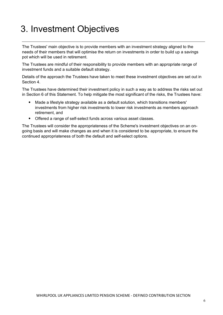## <span id="page-5-0"></span>3. Investment Objectives

The Trustees' main objective is to provide members with an investment strategy aligned to the needs of their members that will optimise the return on investments in order to build up a savings pot which will be used in retirement.

The Trustees are mindful of their responsibility to provide members with an appropriate range of investment funds and a suitable default strategy.

Details of the approach the Trustees have taken to meet these investment objectives are set out in Section 4.

The Trustees have determined their investment policy in such a way as to address the risks set out in Section 6 of this Statement. To help mitigate the most significant of the risks, the Trustees have:

- Made a lifestyle strategy available as a default solution, which transitions members' investments from higher risk investments to lower risk investments as members approach retirement, and
- Offered a range of self-select funds across various asset classes.

The Trustees will consider the appropriateness of the Scheme's investment objectives on an ongoing basis and will make changes as and when it is considered to be appropriate, to ensure the continued appropriateness of both the default and self-select options.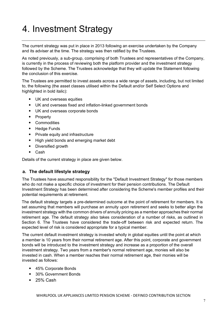# <span id="page-6-0"></span>4. Investment Strategy

The current strategy was put in place in 2013 following an exercise undertaken by the Company and its adviser at the time. The strategy was then ratified by the Trustees.

As noted previously, a sub-group, comprising of both Trustees and representatives of the Company, is currently in the process of reviewing both the platform provider and the investment strategy followed by the Scheme. The Trustees acknowledge that they will update the Statement following the conclusion of this exercise.

The Trustees are permitted to invest assets across a wide range of assets, including, but not limited to, the following (the asset classes utilised within the Default and/or Self Select Options and highlighted in bold italic):

- UK and overseas equities
- UK and overseas fixed and inflation-linked government bonds
- UK and overseas corporate bonds
- Property
- Commodities
- Hedge Funds
- Private equity and infrastructure
- High yield bonds and emerging market debt
- Diversified growth
- Cash

Details of the current strategy in place are given below.

#### **a. The default lifestyle strategy**

The Trustees have assumed responsibility for the "Default Investment Strategy" for those members who do not make a specific choice of investment for their pension contributions. The Default Investment Strategy has been determined after considering the Scheme's member profiles and their potential requirements at retirement.

The default strategy targets a pre-determined outcome at the point of retirement for members. It is set assuming that members will purchase an annuity upon retirement and seeks to better align the investment strategy with the common drivers of annuity pricing as a member approaches their normal retirement age. The default strategy also takes consideration of a number of risks, as outlined in Section 6. The Trustees have considered the trade-off between risk and expected return. The expected level of risk is considered appropriate for a typical member.

The current default investment strategy is invested wholly in global equities until the point at which a member is 10 years from their normal retirement age. After this point, corporate and government bonds will be introduced to the investment strategy and increase as a proportion of the overall investment strategy. Two years from a member's normal retirement age, monies will also be invested in cash. When a member reaches their normal retirement age, their monies will be invested as follows:

- 45% Corporate Bonds
- 30% Government Bonds
- 25% Cash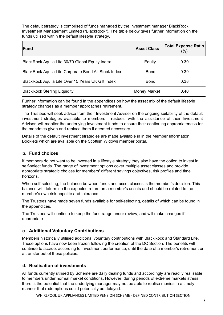The default strategy is comprised of funds managed by the investment manager BlackRock Investment Management Limited ("BlackRock"). The table below gives further information on the funds utilised within the default lifestyle strategy.

| <b>IFund</b>                                         | <b>Asset Class</b> | <b>Total Expense Ratio</b><br>$(\%)$ |
|------------------------------------------------------|--------------------|--------------------------------------|
| BlackRock Aquila Life 30/70 Global Equity Index      | Equity             | 0.39                                 |
| BlackRock Aquila Life Corporate Bond All Stock Index | <b>Bond</b>        | 0.39                                 |
| BlackRock Aquila Life Over 15 Years UK Gilt Index    | <b>Bond</b>        | 0.38                                 |
| <b>BlackRock Sterling Liquidity</b>                  | Money Market       | 0.40                                 |

Further information can be found in the appendices on how the asset mix of the default lifestyle strategy changes as a member approaches retirement.

The Trustees will seek advice from their Investment Adviser on the ongoing suitability of the default investment strategies available to members. Trustees, with the assistance of their Investment Advisor, will monitor the underlying investment funds to ensure their continuing appropriateness for the mandates given and replace them if deemed necessary.

Details of the default investment strategies are made available in in the Member Information Booklets which are available on the Scottish Widows member portal.

#### **b. Fund choices**

If members do not want to be invested in a lifestyle strategy they also have the option to invest in self-select funds. The range of investment options cover multiple asset classes and provide appropriate strategic choices for members' different savings objectives, risk profiles and time horizons.

When self-selecting, the balance between funds and asset classes is the member's decision. This balance will determine the expected return on a member's assets and should be related to the member's own risk appetite and tolerance.

The Trustees have made seven funds available for self-selecting, details of which can be found in the appendices.

The Trustees will continue to keep the fund range under review, and will make changes if appropriate.

#### **c. Additional Voluntary Contributions**

Members historically utilised additional voluntary contributions with BlackRock and Standard Life. These options have now been frozen following the creation of the DC Section. The benefits will continue to accrue, according to investment performance, until the date of a member's retirement or a transfer out of these policies.

#### **d. Realisation of investments**

All funds currently utilised by Scheme are daily dealing funds and accordingly are readily realisable to members under normal market conditions. However, during periods of extreme markets stress, there is the potential that the underlying manager may not be able to realise monies in a timely manner that redemptions could potentially be delayed.

WHIRLPOOL UK APPLIANCES LIMITED PENSION SCHEME - DEFINED CONTRIBUTION SECTION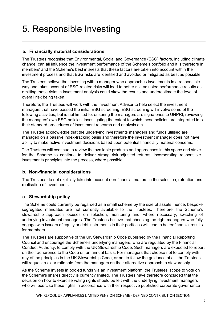## <span id="page-8-0"></span>5. Responsible Investing

#### **a. Financially material considerations**

The Trustees recognise that Environmental, Social and Governance (ESC) factors, including climate change, can all influence the investment performance of the Scheme's portfolio and it is therefore in members' and the Scheme's best interests that these factors are taken into account within the investment process and that ESG risks are identified and avoided or mitigated as best as possible.

The Trustees believe that investing with a manager who approaches investments in a responsible way and takes account of ESG-related risks will lead to better risk adjusted performance results as omitting these risks in investment analysis could skew the results and underestimate the level of overall risk being taken.

Therefore, the Trustees will work with the Investment Advisor to help select the investment managers that have passed the initial ESG screening. ESG screening will involve some of the following activities, but is not limited to: ensuring the managers are signatories to UNPRI, reviewing the managers' own ESG policies, investigating the extent to which these policies are integrated into their standard procedures of investment research and analysis etc.

The Trustee acknowledge that the underlying investments managers and funds utilised are managed on a passive index-tracking basis and therefore the investment manager does not have ability to make active investment decisions based upon potential financially material concerns.

The Trustees will continue to review the available products and approaches in this space and strive for the Scheme to continue to deliver strong risk-adjusted returns, incorporating responsible investments principles into the process, where possible.

#### **b. Non-financial considerations**

The Trustees do not explicitly take into account non-financial matters in the selection, retention and realisation of investments.

#### **c. Stewardship policy**

The Scheme could currently be regarded as a small scheme by the size of assets; hence, bespoke segregated mandates are not currently available to the Trustees. Therefore, the Scheme's stewardship approach focuses on selection, monitoring and, where necessary, switching of underlying investment managers. The Trustees believe that choosing the right managers who fully engage with issuers of equity or debt instruments in their portfolios will lead to better financial results for members.

The Trustees are supportive of the UK Stewardship Code published by the Financial Reporting Council and encourage the Scheme's underlying managers, who are regulated by the Financial Conduct Authority, to comply with the UK Stewardship Code. Such managers are expected to report on their adherence to the Code on an annual basis. For managers that choose not to comply with any of the principles in the UK Stewardship Code, or not to follow the guidance at all, the Trustees will request a clear rationale from the managers on their alternative approach to stewardship.

As the Scheme invests in pooled funds via an investment platform, the Trustees' scope to vote on the Scheme's shares directly is currently limited. The Trustees have therefore concluded that the decision on how to exercise voting rights should be left with the underlying investment managers who will exercise these rights in accordance with their respective published corporate governance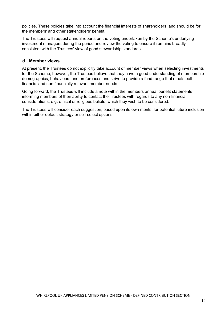policies. These policies take into account the financial interests of shareholders, and should be for the members' and other stakeholders' benefit.

The Trustees will request annual reports on the voting undertaken by the Scheme's underlying investment managers during the period and review the voting to ensure it remains broadly consistent with the Trustees' view of good stewardship standards.

#### **d. Member views**

At present, the Trustees do not explicitly take account of member views when selecting investments for the Scheme, however, the Trustees believe that they have a good understanding of membership demographics, behaviours and preferences and strive to provide a fund range that meets both financial and non-financially relevant member needs.

Going forward, the Trustees will include a note within the members annual benefit statements informing members of their ability to contact the Trustees with regards to any non-financial considerations, e.g. ethical or religious beliefs, which they wish to be considered.

The Trustees will consider each suggestion, based upon its own merits, for potential future inclusion within either default strategy or self-select options.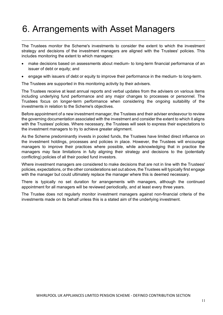### <span id="page-10-0"></span>6. Arrangements with Asset Managers

The Trustees monitor the Scheme's investments to consider the extent to which the investment strategy and decisions of the investment managers are aligned with the Trustees' policies. This includes monitoring the extent to which managers:

- make decisions based on assessments about medium- to long-term financial performance of an issuer of debt or equity; and
- engage with issuers of debt or equity to improve their performance in the medium- to long-term.

The Trustees are supported in this monitoring activity by their advisers.

The Trustees receive at least annual reports and verbal updates from the advisers on various items including underlying fund performance and any major changes to processes or personnel. The Trustees focus on longer-term performance when considering the ongoing suitability of the investments in relation to the Scheme's objectives.

Before appointment of a new investment manager, the Trustees and their adviser endeavour to review the governing documentation associated with the investment and consider the extent to which it aligns with the Trustees' policies. Where necessary, the Trustees will seek to express their expectations to the investment managers to try to achieve greater alignment.

As the Scheme predominantly invests in pooled funds, the Trustees have limited direct influence on the investment holdings, processes and policies in place. However, the Trustees will encourage managers to improve their practices where possible, while acknowledging that in practice the managers may face limitations in fully aligning their strategy and decisions to the (potentially conflicting) policies of all their pooled fund investors.

Where investment managers are considered to make decisions that are not in line with the Trustees' policies, expectations, or the other considerations set out above, the Trustees will typically first engage with the manager but could ultimately replace the manager where this is deemed necessary.

There is typically no set duration for arrangements with managers, although the continued appointment for all managers will be reviewed periodically, and at least every three years.

The Trustee does not regularly monitor investment managers against non-financial criteria of the investments made on its behalf unless this is a stated aim of the underlying investment.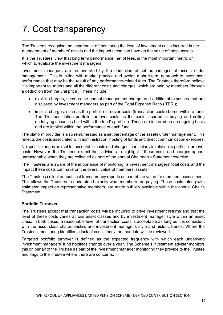# <span id="page-11-0"></span>7. Cost transparency

The Trustees recognise the importance of monitoring the level of investment costs incurred in the management of members' assets and the impact these can have on the value of these assets.

It is the Trustees' view that long term performance, net of fees, is the most important metric on which to evaluate the investment managers.

Investment managers are remunerated by the deduction of set percentages of assets under management. This is in-line with market practice and avoids a short-term approach to investment performance that may be the result of any performance-related fees. The Trustees therefore believe it is important to understand all the different costs and charges, which are paid by members (through a deduction from the unit price). These include:

- explicit charges, such as the annual management charge, and additional expenses that are disclosed by investment managers as part of the Total Expense Ratio ('TER');
- implicit charges, such as the portfolio turnover costs (transaction costs) borne within a fund. The Trustees define portfolio turnover costs as the costs incurred in buying and selling underlying securities held within the fund's portfolio. These are incurred on an ongoing basis and are implicit within the performance of each fund.

The platform provider is also remunerated as a set percentage of the assets under management. This reflects the costs associated with administration, hosting of funds and direct communication exercises.

No specific ranges are set for acceptable costs and charges, particularly in relation to portfolio turnover costs. However, the Trustees expect their advisers to highlight if these costs and charges appear unreasonable when they are collected as part of the annual Chairman's Statement exercise.

The Trustees are aware of the importance of monitoring its investment managers' total costs and the impact these costs can have on the overall value of members' assets.

The Trustees collect annual cost transparency reports as part of the value for members assessment. This allows the Trustees to understand exactly what members are paying. These costs, along with estimated impact on representative members, are made publicly available within the annual Chair's **Statement** 

#### **Portfolio Turnover**

The Trustees accept that transaction costs will be incurred to drive investment returns and that the level of these costs varies across asset classes and by investment manager style within an asset class. In both cases, a reasonable level of transaction costs is acceptable as long as it is consistent with the asset class characteristics and investment manager's style and historic trends. Where the Trustees' monitoring identifies a lack of consistency the mandate will be reviewed.

Targeted portfolio turnover is defined as the expected frequency with which each underlying investment managers' fund holdings change over a year. The Scheme's investment adviser monitors this on behalf of the Trustee as part of the investment manager monitoring they provide to the Trustee and flags to the Trustee where there are concerns.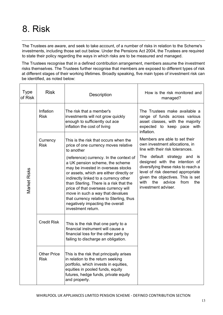# <span id="page-12-0"></span>8. Risk

The Trustees are aware, and seek to take account, of a number of risks in relation to the Scheme's investments, including those set out below. Under the Pensions Act 2004, the Trustees are required to state their policy regarding the ways in which risks are to be measured and managed.

The Trustees recognise that in a defined contribution arrangement, members assume the investment risks themselves. The Trustees further recognise that members are exposed to different types of risk at different stages of their working lifetimes. Broadly speaking, five main types of investment risk can be identified, as noted below:

| <b>Type</b><br>of Risk | <b>Risk</b>                       | Description                                                                                                                                                                                                                                                                                                                                                                                                                       | How is the risk monitored and<br>managed?                                                                                                                                                                                                                 |  |
|------------------------|-----------------------------------|-----------------------------------------------------------------------------------------------------------------------------------------------------------------------------------------------------------------------------------------------------------------------------------------------------------------------------------------------------------------------------------------------------------------------------------|-----------------------------------------------------------------------------------------------------------------------------------------------------------------------------------------------------------------------------------------------------------|--|
|                        | Inflation<br><b>Risk</b>          | The risk that a member's<br>investments will not grow quickly<br>enough to sufficiently out ace<br>inflation the cost of living                                                                                                                                                                                                                                                                                                   | The Trustees make available a<br>range of funds across various<br>asset classes, with the majority<br>expected to keep pace with<br>inflation.                                                                                                            |  |
|                        | Currency<br><b>Risk</b>           | This is the risk that occurs when the<br>price of one currency moves relative<br>to another                                                                                                                                                                                                                                                                                                                                       | Members are able to set their<br>own investment allocations, in<br>line with their risk tolerances.                                                                                                                                                       |  |
| <b>Market Risks</b>    |                                   | (reference) currency. In the context of<br>a UK pension scheme, the scheme<br>may be invested in overseas stocks<br>or assets, which are either directly or<br>indirectly linked to a currency other<br>than Sterling. There is a risk that the<br>price of that overseas currency will<br>move in such a way that devalues<br>that currency relative to Sterling, thus<br>negatively impacting the overall<br>investment return. | The default strategy<br>and<br><b>IS</b><br>designed with the intention of<br>diversifying these risks to reach a<br>level of risk deemed appropriate<br>given the objectives. This is set<br>with<br>the<br>advice<br>from<br>the<br>investment adviser. |  |
|                        | <b>Credit Risk</b>                | This is the risk that one party to a<br>financial instrument will cause a<br>financial loss for the other party by<br>failing to discharge an obligation.                                                                                                                                                                                                                                                                         |                                                                                                                                                                                                                                                           |  |
|                        | <b>Other Price</b><br><b>Risk</b> | This is the risk that principally arises<br>in relation to the return seeking<br>portfolio, which invests in equities,<br>equities in pooled funds, equity<br>futures, hedge funds, private equity<br>and property.                                                                                                                                                                                                               |                                                                                                                                                                                                                                                           |  |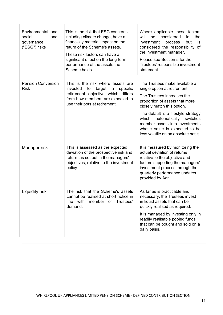| Environmental and<br>social<br>and<br>governance<br>("ESG") risks | This is the risk that ESG concerns,<br>including climate change, have a<br>financially material impact on the<br>return of the Scheme's assets.<br>These risk factors can have a<br>significant effect on the long-term<br>performance of the assets the<br>Scheme holds. | Where applicable these factors<br>be considered<br>will<br>the<br>in<br>investment<br>but<br>process<br>is<br>considered the responsibility of<br>the investment manager.<br>Please see Section 5 for the<br>Trustees' responsible investment<br>statement.                                                                                        |  |
|-------------------------------------------------------------------|---------------------------------------------------------------------------------------------------------------------------------------------------------------------------------------------------------------------------------------------------------------------------|----------------------------------------------------------------------------------------------------------------------------------------------------------------------------------------------------------------------------------------------------------------------------------------------------------------------------------------------------|--|
| <b>Pension Conversion</b><br><b>Risk</b>                          | This is the risk where assets are<br>invested<br>target<br>specific<br>to<br>$\mathsf{a}$<br>retirement objective which differs<br>from how members are expected to<br>use their pots at retirement.                                                                      | The Trustees make available a<br>single option at retirement.<br>The Trustees increases the<br>proportion of assets that more<br>closely match this option.<br>The default is a lifestyle strategy<br>which<br>automatically<br>switches<br>member assets into investments<br>whose value is expected to be<br>less volatile on an absolute basis. |  |
| Manager risk                                                      | This is assessed as the expected<br>deviation of the prospective risk and<br>return, as set out in the managers'<br>objectives, relative to the investment<br>policy.                                                                                                     | It is measured by monitoring the<br>actual deviation of returns<br>relative to the objective and<br>factors supporting the managers'<br>investment process through the<br>quarterly performance updates<br>provided by Aon.                                                                                                                        |  |
| Liquidity risk                                                    | The risk that the Scheme's assets<br>cannot be realised at short notice in<br>line with<br>member or Trustees'<br>demand.                                                                                                                                                 | As far as is practicable and<br>necessary, the Trustees invest<br>in liquid assets that can be<br>quickly realised as required.<br>It is managed by investing only in<br>readily realisable pooled funds<br>that can be bought and sold on a<br>daily basis.                                                                                       |  |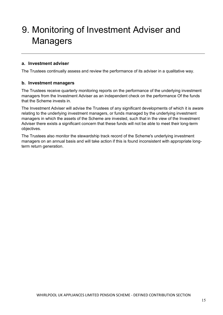## <span id="page-14-0"></span>9. Monitoring of Investment Adviser and **Managers**

#### **a. Investment adviser**

The Trustees continually assess and review the performance of its adviser in a qualitative way.

#### **b. Investment managers**

The Trustees receive quarterly monitoring reports on the performance of the underlying investment managers from the Investment Adviser as an independent check on the performance Of the funds that the Scheme invests in.

The Investment Adviser will advise the Trustees of any significant developments of which it is aware relating to the underlying investment managers, or funds managed by the underlying investment managers in which the assets of the Scheme are invested, such that in the view of the Investment Adviser there exists a significant concern that these funds will not be able to meet their long-term objectives.

The Trustees also monitor the stewardship track record of the Scheme's underlying investment managers on an annual basis and will take action if this is found inconsistent with appropriate longterm return generation.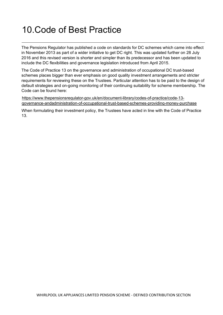### <span id="page-15-0"></span>10.Code of Best Practice

The Pensions Regulator has published a code on standards for DC schemes which came into effect in November 2013 as part of a wider initiative to get DC right. This was updated further on 28 July 2016 and this revised version is shorter and simpler than its predecessor and has been updated to include the DC flexibilities and governance legislation introduced from April 2015.

The Code of Practice 13 on the governance and administration of occupational DC trust-based schemes places bigger than ever emphasis on good quality investment arrangements and stricter requirements for reviewing these on the Trustees. Particular attention has to be paid to the design of default strategies and on-going monitoring of their continuing suitability for scheme membership. The Code can be found here:

https://www.thepensionsrequlator-gov.uk/en/document-library/codes-of-practice/code-13 qovernance-andadministration-of-occupational-trust-based-schemes-providinq-money-purchase

When formulating their investment policy, the Trustees have acted in line with the Code of Practice 13.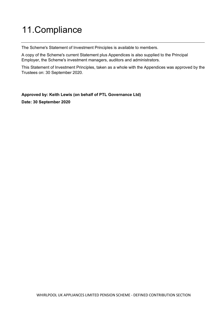# <span id="page-16-0"></span>11.Compliance

The Scheme's Statement of Investment Principles is available to members.

A copy of the Scheme's current Statement plus Appendices is also supplied to the Principal Employer, the Scheme's investment managers, auditors and administrators.

This Statement of Investment Principles, taken as a whole with the Appendices was approved by the Trustees on: 30 September 2020.

**Approved by: Keith Lewis (on behalf of PTL Governance Ltd)**

**Date: 30 September 2020**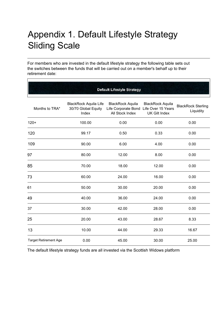# <span id="page-17-0"></span>Appendix 1. Default Lifestyle Strategy Sliding Scale

For members who are invested in the default lifestyle strategy the following table sets out the switches between the funds that will be carried out on a member's behalf up to their retirement date:

| <b>Default Lifestyle Strategy</b> |                                                              |                                                                                      |                                                 |                                        |
|-----------------------------------|--------------------------------------------------------------|--------------------------------------------------------------------------------------|-------------------------------------------------|----------------------------------------|
| Months to TRA*                    | <b>BlackRock Aquila Life</b><br>30/70 Global Equity<br>Index | <b>BlackRock Aquila</b><br>Life Corporate Bond Life Over 15 Years<br>All Stock Index | <b>BlackRock Aquila</b><br><b>UK Gilt Index</b> | <b>BlackRock Sterling</b><br>Liquidity |
| $120+$                            | 100.00                                                       | 0.00                                                                                 | 0.00                                            | 0.00                                   |
| 120                               | 99.17                                                        | 0.50                                                                                 | 0.33                                            | 0.00                                   |
| 109                               | 90.00                                                        | 6.00                                                                                 | 4.00                                            | 0.00                                   |
| 97                                | 80.00                                                        | 12.00                                                                                | 8.00                                            | 0.00                                   |
| 85                                | 70.00                                                        | 18.00                                                                                | 12.00                                           | 0.00                                   |
| 73                                | 60.00                                                        | 24.00                                                                                | 16.00                                           | 0.00                                   |
| 61                                | 50.00                                                        | 30.00                                                                                | 20.00                                           | 0.00                                   |
| 49                                | 40.00                                                        | 36.00                                                                                | 24.00                                           | 0.00                                   |
| 37                                | 30.00                                                        | 42.00                                                                                | 28.00                                           | 0.00                                   |
| 25                                | 20.00                                                        | 43.00                                                                                | 28.67                                           | 8.33                                   |
| 13                                | 10.00                                                        | 44.00                                                                                | 29.33                                           | 16.67                                  |
| <b>Target Retirement Age</b>      | 0.00                                                         | 45.00                                                                                | 30.00                                           | 25.00                                  |

The default lifestyle strategy funds are all invested via the Scottish Widows platform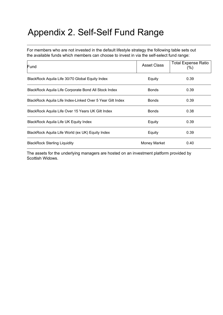### <span id="page-18-0"></span>Appendix 2. Self-Self Fund Range

For members who are not invested in the default lifestyle strategy the following table sets out the available funds which members can choose to invest in via the self-select fund range:

| Fund                                                      | Asset Class  | <b>Total Expense Ratio</b><br>(%) |
|-----------------------------------------------------------|--------------|-----------------------------------|
| BlackRock Aquila Life 30/70 Global Equity Index           | Equity       | 0.39                              |
| BlackRock Aquila Life Corporate Bond All Stock Index      | <b>Bonds</b> | 0.39                              |
| BlackRock Aquila Life Index-Linked Over 5 Year Gilt Index | <b>Bonds</b> | 0.39                              |
| BlackRock Aquila Life Over 15 Years UK Gilt Index         | <b>Bonds</b> | 0.38                              |
| BlackRock Aquila Life UK Equity Index                     | Equity       | 0.39                              |
| BlackRock Aquila Life World (ex UK) Equity Index          | Equity       | 0.39                              |
| <b>BlackRock Sterling Liquidity</b>                       | Money Market | 0.40                              |

The assets for the underlying managers are hosted on an investment platform provided by Scottish Widows.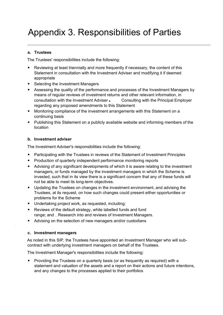#### <span id="page-19-0"></span>**a. Trustees**

The Trustees' responsibilities include the following:

- Reviewing at least triennially and more frequently if necessary, the content of this Statement in consultation with the Investment Adviser and modifying it if deemed appropriate
- Selecting the Investment Managers
- Assessing the quality of the performance and processes of the Investment Managers by means of regular reviews of investment returns and other relevant information, in consultation with the Investment Adviser Consulting with the Principal Employer regarding any proposed amendments to this Statement
- Monitoring compliance of the investment arrangements with this Statement on a continuing basis
- Publishing this Statement on a publicly available website and informing members of the location

#### **b. Investment adviser**

The Investment Adviser's responsibilities include the following:

- Participating with the Trustees in reviews of the Statement of Investment Principles
- Production of quarterly independent performance monitoring reports
- Advising of any significant developments of which it is aware relating to the investment managers, or funds managed by the investment managers in which the Scheme is invested, such that in its view there is a significant concern that any of these funds will not be able to meet its long-term objectives.
- Updating the Trustees on changes in the investment environment, and advising the Trustees, at its request, on how such changes could present either opportunities or problems for the Scheme
- Undertaking project work, as requested, including:
- Reviews of the default strategy, white labelled funds and fund range; and \_ Research into and reviews of Investment Managers.
- Advising on the selection of new managers and/or custodians

#### **c. Investment managers**

As noted in this SIP, the Trustees have appointed an Investment Manager who will subcontract with underlying investment managers on behalf of the Trustees.

The Investment Manager's responsibilities include the following:

• Providing the Trustees on a quarterly basis (or as frequently as required) with a statement and valuation of the assets and a report on their actions and future intentions, and any changes to the processes applied to their portfolios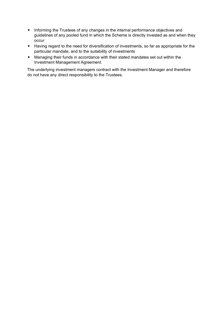- Informing the Trustees of any changes in the internal performance objectives and guidelines of any pooled fund in which the Scheme is directly invested as and when they occur
- Having regard to the need for diversification of investments, so far as appropriate for the particular mandate, and to the suitability of investments
- Managing their funds in accordance with their stated mandates set out within the Investment Management Agreement.

The underlying investment managers contract with the Investment Manager and therefore do not have any direct responsibility to the Trustees.